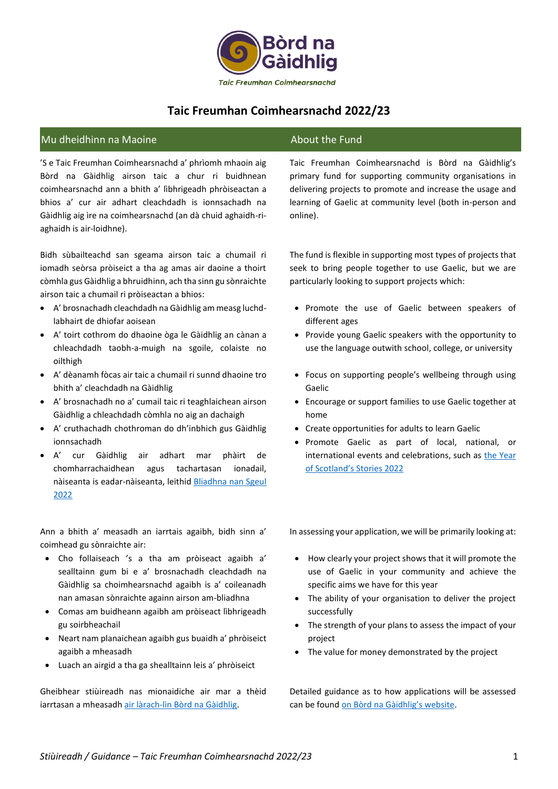

# **Taic Freumhan Coimhearsnachd 2022/23**

# Mu dheidhinn na Maoine About the Fund

'S e Taic Freumhan Coimhearsnachd a' phrìomh mhaoin aig Bòrd na Gàidhlig airson taic a chur ri buidhnean coimhearsnachd ann a bhith a' lìbhrigeadh phròiseactan a bhios a' cur air adhart cleachdadh is ionnsachadh na Gàidhlig aig ìre na coimhearsnachd (an dà chuid aghaidh-riaghaidh is air-loidhne).

Bidh sùbailteachd san sgeama airson taic a chumail ri iomadh seòrsa pròiseict a tha ag amas air daoine a thoirt còmhla gus Gàidhlig a bhruidhinn, ach tha sinn gu sònraichte airson taic a chumail ri pròiseactan a bhios:

- A' brosnachadh cleachdadh na Gàidhlig am measg luchdlabhairt de dhiofar aoisean
- A' toirt cothrom do dhaoine òga le Gàidhlig an cànan a chleachdadh taobh-a-muigh na sgoile, colaiste no oilthigh
- A' dèanamh fòcas air taic a chumail ri sunnd dhaoine tro bhith a' cleachdadh na Gàidhlig
- A' brosnachadh no a' cumail taic ri teaghlaichean airson Gàidhlig a chleachdadh còmhla no aig an dachaigh
- A' cruthachadh chothroman do dh'inbhich gus Gàidhlig ionnsachadh
- A' cur Gàidhlig air adhart mar phàirt de chomharrachaidhean agus tachartasan ionadail, nàiseanta is eadar-nàiseanta, leithid Bliadhna nan Sgeul [2022](https://www.visitscotland.org/about-us/what-we-do/themed-years)

Ann a bhith a' measadh an iarrtais agaibh, bidh sinn a' coimhead gu sònraichte air:

- Cho follaiseach 's a tha am pròiseact agaibh a' sealltainn gum bi e a' brosnachadh cleachdadh na Gàidhlig sa choimhearsnachd agaibh is a' coileanadh nan amasan sònraichte againn airson am-bliadhna
- Comas am buidheann agaibh am pròiseact lìbhrigeadh gu soirbheachail
- Neart nam planaichean agaibh gus buaidh a' phròiseict agaibh a mheasadh
- Luach an airgid a tha ga shealltainn leis a' phròiseict

Gheibhear stiùireadh nas mionaidiche air mar a thèid iarrtasan a mheasadh [air làrach-lìn Bòrd na Gàidhlig.](https://www.gaidhlig.scot/wp-content/uploads/2021/11/stiuireadh-measaidh-tfc-2022-23.pdf)

Taic Freumhan Coimhearsnachd is Bòrd na Gàidhlig's primary fund for supporting community organisations in delivering projects to promote and increase the usage and learning of Gaelic at community level (both in-person and online).

The fund is flexible in supporting most types of projects that seek to bring people together to use Gaelic, but we are particularly looking to support projects which:

- Promote the use of Gaelic between speakers of different ages
- Provide young Gaelic speakers with the opportunity to use the language outwith school, college, or university
- Focus on supporting people's wellbeing through using Gaelic
- Encourage or support families to use Gaelic together at home
- Create opportunities for adults to learn Gaelic
- Promote Gaelic as part of local, national, or international events and celebrations, such as [the Year](https://www.visitscotland.org/about-us/what-we-do/themed-years)  [of Scotland's Stories 2022](https://www.visitscotland.org/about-us/what-we-do/themed-years)

In assessing your application, we will be primarily looking at:

- How clearly your project shows that it will promote the use of Gaelic in your community and achieve the specific aims we have for this year
- The ability of your organisation to deliver the project successfully
- The strength of your plans to assess the impact of your project
- The value for money demonstrated by the project

Detailed guidance as to how applications will be assessed can be found [on Bòrd na Gàidhlig's website](https://www.gaidhlig.scot/wp-content/uploads/2021/11/stiuireadh-measaidh-tfc-2022-23.pdf).